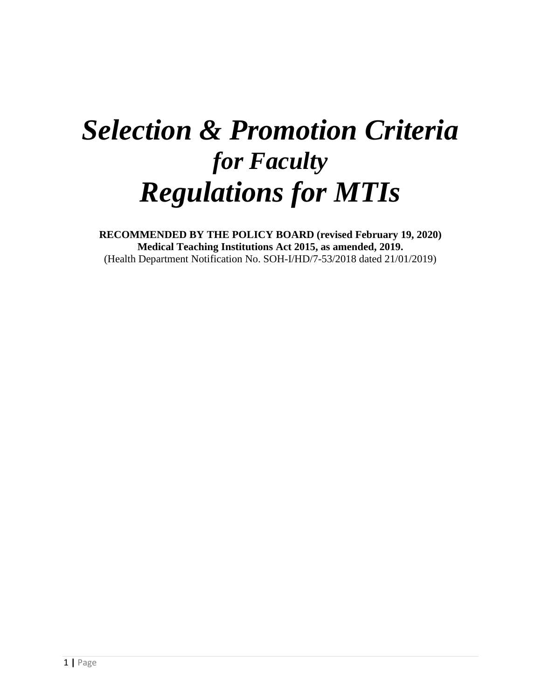# *Selection & Promotion Criteria for Faculty Regulations for MTIs*

**RECOMMENDED BY THE POLICY BOARD (revised February 19, 2020) Medical Teaching Institutions Act 2015, as amended, 2019.** (Health Department Notification No. SOH-I/HD/7-53/2018 dated 21/01/2019)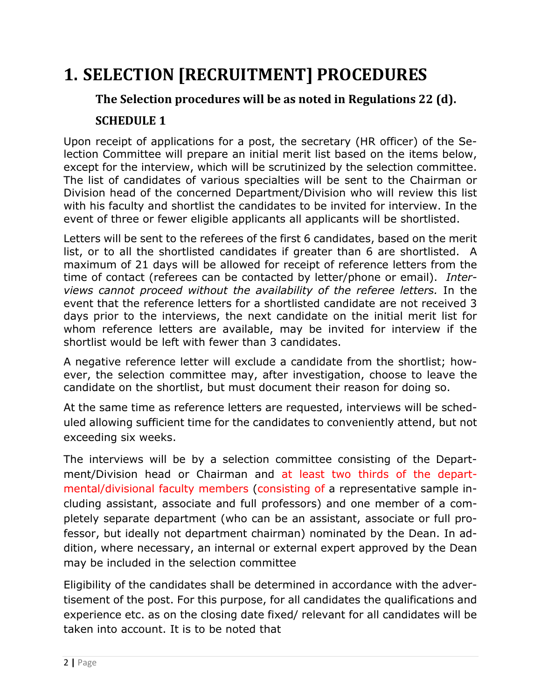# **1. SELECTION [RECRUITMENT] PROCEDURES**

# **The Selection procedures will be as noted in Regulations 22 (d). SCHEDULE 1**

Upon receipt of applications for a post, the secretary (HR officer) of the Selection Committee will prepare an initial merit list based on the items below, except for the interview, which will be scrutinized by the selection committee. The list of candidates of various specialties will be sent to the Chairman or Division head of the concerned Department/Division who will review this list with his faculty and shortlist the candidates to be invited for interview. In the event of three or fewer eligible applicants all applicants will be shortlisted.

Letters will be sent to the referees of the first 6 candidates, based on the merit list, or to all the shortlisted candidates if greater than 6 are shortlisted. A maximum of 21 days will be allowed for receipt of reference letters from the time of contact (referees can be contacted by letter/phone or email). *Interviews cannot proceed without the availability of the referee letters.* In the event that the reference letters for a shortlisted candidate are not received 3 days prior to the interviews, the next candidate on the initial merit list for whom reference letters are available, may be invited for interview if the shortlist would be left with fewer than 3 candidates.

A negative reference letter will exclude a candidate from the shortlist; however, the selection committee may, after investigation, choose to leave the candidate on the shortlist, but must document their reason for doing so.

At the same time as reference letters are requested, interviews will be scheduled allowing sufficient time for the candidates to conveniently attend, but not exceeding six weeks.

The interviews will be by a selection committee consisting of the Department/Division head or Chairman and at least two thirds of the departmental/divisional faculty members (consisting of a representative sample including assistant, associate and full professors) and one member of a completely separate department (who can be an assistant, associate or full professor, but ideally not department chairman) nominated by the Dean. In addition, where necessary, an internal or external expert approved by the Dean may be included in the selection committee

Eligibility of the candidates shall be determined in accordance with the advertisement of the post. For this purpose, for all candidates the qualifications and experience etc. as on the closing date fixed/ relevant for all candidates will be taken into account. It is to be noted that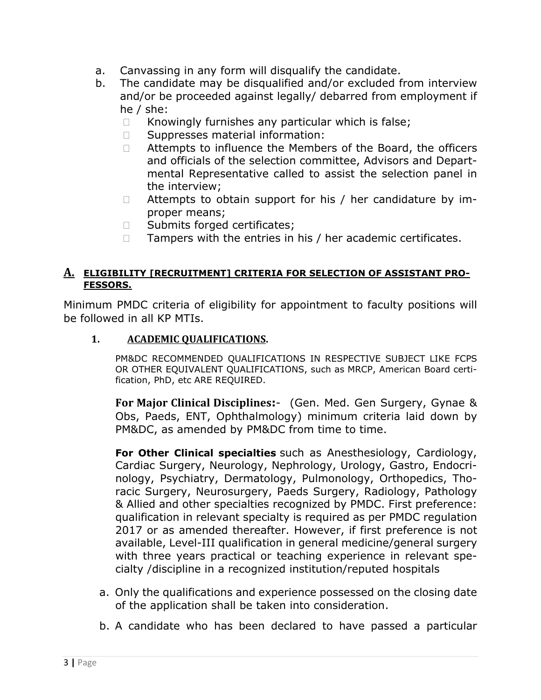- a. Canvassing in any form will disqualify the candidate.
- b. The candidate may be disqualified and/or excluded from interview and/or be proceeded against legally/ debarred from employment if he / she:
	- $\Box$  Knowingly furnishes any particular which is false;
	- □ Suppresses material information:
	- $\Box$  Attempts to influence the Members of the Board, the officers and officials of the selection committee, Advisors and Departmental Representative called to assist the selection panel in the interview;
	- $\Box$  Attempts to obtain support for his / her candidature by improper means;
	- □ Submits forged certificates;
	- $\Box$  Tampers with the entries in his / her academic certificates.

#### **A. ELIGIBILITY [RECRUITMENT] CRITERIA FOR SELECTION OF ASSISTANT PRO-FESSORS.**

Minimum PMDC criteria of eligibility for appointment to faculty positions will be followed in all KP MTIs.

#### **1. ACADEMIC QUALIFICATIONS.**

PM&DC RECOMMENDED QUALIFICATIONS IN RESPECTIVE SUBJECT LIKE FCPS OR OTHER EQUIVALENT QUALIFICATIONS, such as MRCP, American Board certification, PhD, etc ARE REQUIRED.

**For Major Clinical Disciplines:**- (Gen. Med. Gen Surgery, Gynae & Obs, Paeds, ENT, Ophthalmology) minimum criteria laid down by PM&DC, as amended by PM&DC from time to time.

**For Other Clinical specialties** such as Anesthesiology, Cardiology, Cardiac Surgery, Neurology, Nephrology, Urology, Gastro, Endocrinology, Psychiatry, Dermatology, Pulmonology, Orthopedics, Thoracic Surgery, Neurosurgery, Paeds Surgery, Radiology, Pathology & Allied and other specialties recognized by PMDC. First preference: qualification in relevant specialty is required as per PMDC regulation 2017 or as amended thereafter. However, if first preference is not available, Level-III qualification in general medicine/general surgery with three years practical or teaching experience in relevant specialty /discipline in a recognized institution/reputed hospitals

- a. Only the qualifications and experience possessed on the closing date of the application shall be taken into consideration.
- b. A candidate who has been declared to have passed a particular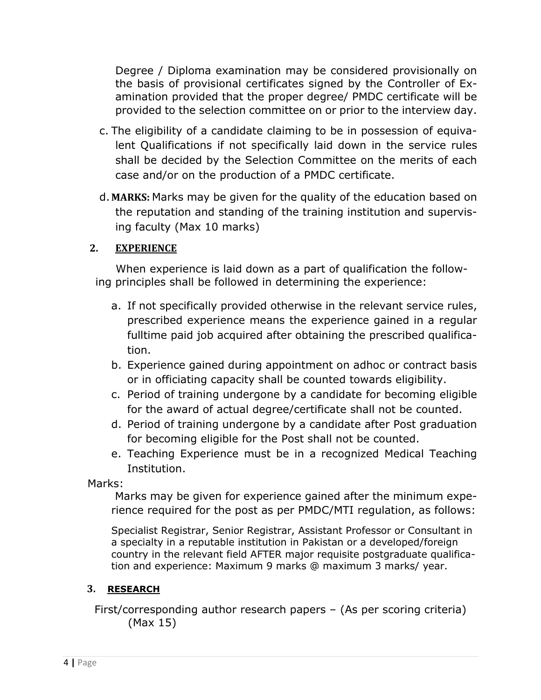Degree / Diploma examination may be considered provisionally on the basis of provisional certificates signed by the Controller of Examination provided that the proper degree/ PMDC certificate will be provided to the selection committee on or prior to the interview day.

- c. The eligibility of a candidate claiming to be in possession of equivalent Qualifications if not specifically laid down in the service rules shall be decided by the Selection Committee on the merits of each case and/or on the production of a PMDC certificate.
- d.**MARKS:** Marks may be given for the quality of the education based on the reputation and standing of the training institution and supervising faculty (Max 10 marks)

### **2. EXPERIENCE**

When experience is laid down as a part of qualification the following principles shall be followed in determining the experience:

- a. If not specifically provided otherwise in the relevant service rules, prescribed experience means the experience gained in a regular fulltime paid job acquired after obtaining the prescribed qualification.
- b. Experience gained during appointment on adhoc or contract basis or in officiating capacity shall be counted towards eligibility.
- c. Period of training undergone by a candidate for becoming eligible for the award of actual degree/certificate shall not be counted.
- d. Period of training undergone by a candidate after Post graduation for becoming eligible for the Post shall not be counted.
- e. Teaching Experience must be in a recognized Medical Teaching Institution.

Marks:

Marks may be given for experience gained after the minimum experience required for the post as per PMDC/MTI regulation, as follows:

Specialist Registrar, Senior Registrar, Assistant Professor or Consultant in a specialty in a reputable institution in Pakistan or a developed/foreign country in the relevant field AFTER major requisite postgraduate qualification and experience: Maximum 9 marks @ maximum 3 marks/ year.

#### **3. RESEARCH**

 First/corresponding author research papers – (As per scoring criteria) (Max 15)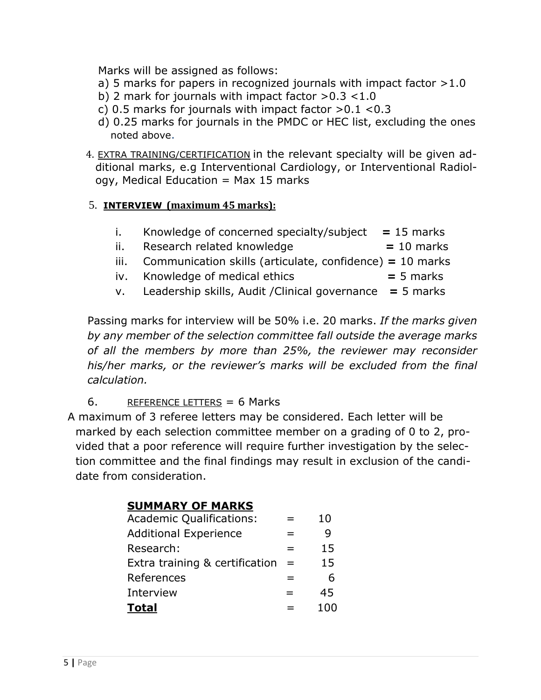Marks will be assigned as follows:

- a) 5 marks for papers in recognized journals with impact factor  $>1.0$
- b) 2 mark for journals with impact factor  $>0.3$  < 1.0
- c) 0.5 marks for journals with impact factor  $>0.1$  <0.3
- d) 0.25 marks for journals in the PMDC or HEC list, excluding the ones noted above.
- 4. EXTRA TRAINING/CERTIFICATION in the relevant specialty will be given additional marks, e.g Interventional Cardiology, or Interventional Radiol $ogy,$  Medical Education = Max 15 marks

## 5. **INTERVIEW (maximum 45 marks):**

- i. Knowledge of concerned specialty/subject **=** 15 marks ii. Research related knowledge **=** 10 marks iii. Communication skills (articulate, confidence) **=** 10 marks
	- iv. Knowledge of medical ethics **=** 5 marks
	- v. Leadership skills, Audit /Clinical governance **=** 5 marks

Passing marks for interview will be 50% i.e. 20 marks. *If the marks given by any member of the selection committee fall outside the average marks of all the members by more than 25%, the reviewer may reconsider his/her marks, or the reviewer's marks will be excluded from the final calculation.*

# 6. REFERENCE LETTERS = 6 Marks

A maximum of 3 referee letters may be considered. Each letter will be marked by each selection committee member on a grading of 0 to 2, provided that a poor reference will require further investigation by the selection committee and the final findings may result in exclusion of the candidate from consideration.

# **SUMMARY OF MARKS** Academic Qualifications:  $=$  10 Additional Experience  $\qquad \qquad = \qquad \qquad 9$ Research:  $=$  15 Extra training & certification  $=$  15  $References = 6$ Interview  $=$  45 **Total** = 100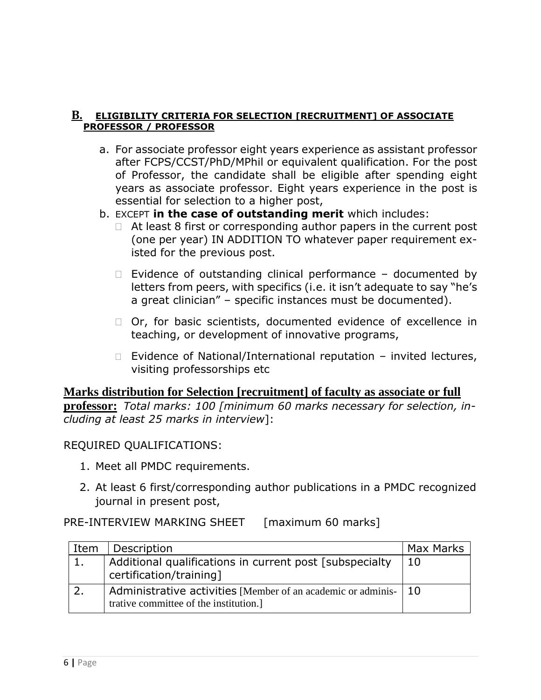#### **B. ELIGIBILITY CRITERIA FOR SELECTION [RECRUITMENT] OF ASSOCIATE PROFESSOR / PROFESSOR**

- a. For associate professor eight years experience as assistant professor after FCPS/CCST/PhD/MPhil or equivalent qualification. For the post of Professor, the candidate shall be eligible after spending eight years as associate professor. Eight years experience in the post is essential for selection to a higher post,
- b. EXCEPT **in the case of outstanding merit** which includes:
	- $\Box$  At least 8 first or corresponding author papers in the current post (one per year) IN ADDITION TO whatever paper requirement existed for the previous post.
	- $\Box$  Evidence of outstanding clinical performance documented by letters from peers, with specifics (i.e. it isn't adequate to say "he's a great clinician" – specific instances must be documented).
	- □ Or, for basic scientists, documented evidence of excellence in teaching, or development of innovative programs,
	- $\Box$  Evidence of National/International reputation invited lectures, visiting professorships etc

# **Marks distribution for Selection [recruitment] of faculty as associate or full**

**professor:** *Total marks: 100 [minimum 60 marks necessary for selection, including at least 25 marks in interview*]:

## REQUIRED QUALIFICATIONS:

- 1. Meet all PMDC requirements.
- 2. At least 6 first/corresponding author publications in a PMDC recognized journal in present post,

## PRE-INTERVIEW MARKING SHEET [maximum 60 marks]

| Item | Description                                                                                             | Max Marks |
|------|---------------------------------------------------------------------------------------------------------|-----------|
|      | Additional qualifications in current post [subspecialty]<br>certification/training]                     | -10       |
|      | Administrative activities [Member of an academic or adminis-  <br>trative committee of the institution. | -10       |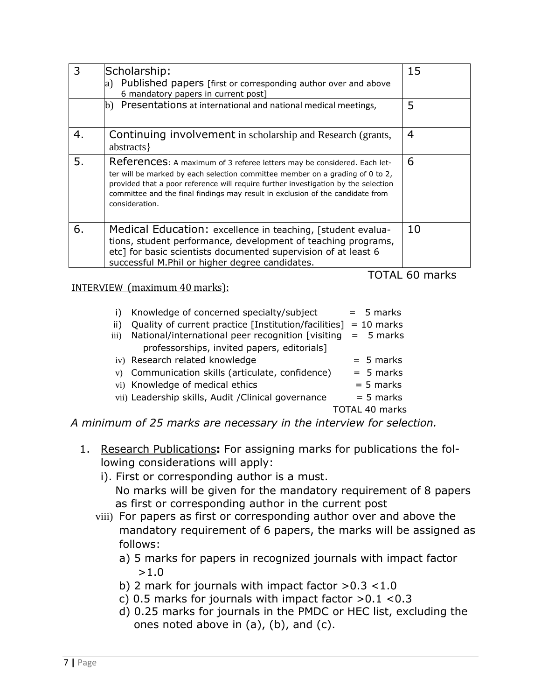| 3  | Scholarship:<br>a) Published papers [first or corresponding author over and above<br>6 mandatory papers in current post]                                                                                                                                                                                                                           | 15 |  |  |  |
|----|----------------------------------------------------------------------------------------------------------------------------------------------------------------------------------------------------------------------------------------------------------------------------------------------------------------------------------------------------|----|--|--|--|
|    | (b) Presentations at international and national medical meetings,                                                                                                                                                                                                                                                                                  | 5  |  |  |  |
| 4. | Continuing involvement in scholarship and Research (grants,<br>abstracts }                                                                                                                                                                                                                                                                         | 4  |  |  |  |
| 5. | References: A maximum of 3 referee letters may be considered. Each let-<br>ter will be marked by each selection committee member on a grading of 0 to 2,<br>provided that a poor reference will require further investigation by the selection<br>committee and the final findings may result in exclusion of the candidate from<br>consideration. | 6  |  |  |  |
| 6. | Medical Education: excellence in teaching, [student evalua-<br>tions, student performance, development of teaching programs,<br>etc] for basic scientists documented supervision of at least 6<br>successful M.Phil or higher degree candidates.                                                                                                   | 10 |  |  |  |
|    | 60<br>marks                                                                                                                                                                                                                                                                                                                                        |    |  |  |  |

#### INTERVIEW(maximum 40 marks):

|                  | Knowledge of concerned specialty/subject                        | $= 5$ marks    |
|------------------|-----------------------------------------------------------------|----------------|
| ii)              | Quality of current practice [Institution/facilities] = 10 marks |                |
| $\overline{iii}$ | National/international peer recognition [visiting               | $= 5$ marks    |
|                  | professorships, invited papers, editorials]                     |                |
|                  | iv) Research related knowledge                                  | $= 5$ marks    |
|                  | v) Communication skills (articulate, confidence)                | $= 5$ marks    |
|                  | vi) Knowledge of medical ethics                                 | $= 5$ marks    |
|                  | vii) Leadership skills, Audit / Clinical governance             | $= 5$ marks    |
|                  |                                                                 | TOTAL 40 marks |

*A minimum of 25 marks are necessary in the interview for selection.*

- 1. Research Publications**:** For assigning marks for publications the following considerations will apply:
	- i). First or corresponding author is a must. No marks will be given for the mandatory requirement of 8 papers as first or corresponding author in the current post
	- viii) For papers as first or corresponding author over and above the mandatory requirement of 6 papers, the marks will be assigned as follows:
		- a) 5 marks for papers in recognized journals with impact factor >1.0
		- b) 2 mark for journals with impact factor >0.3 <1.0
		- c) 0.5 marks for journals with impact factor  $>0.1$  <0.3
		- d) 0.25 marks for journals in the PMDC or HEC list, excluding the ones noted above in (a), (b), and (c).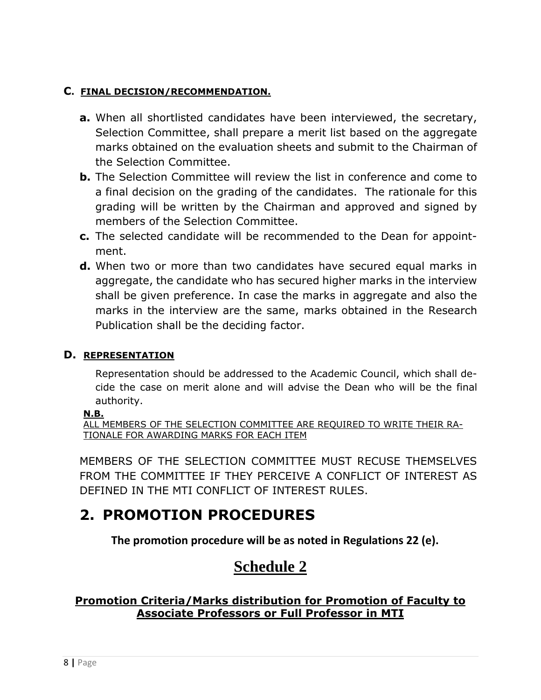### **C. FINAL DECISION/RECOMMENDATION.**

- **a.** When all shortlisted candidates have been interviewed, the secretary, Selection Committee, shall prepare a merit list based on the aggregate marks obtained on the evaluation sheets and submit to the Chairman of the Selection Committee.
- **b.** The Selection Committee will review the list in conference and come to a final decision on the grading of the candidates. The rationale for this grading will be written by the Chairman and approved and signed by members of the Selection Committee.
- **c.** The selected candidate will be recommended to the Dean for appointment.
- **d.** When two or more than two candidates have secured equal marks in aggregate, the candidate who has secured higher marks in the interview shall be given preference. In case the marks in aggregate and also the marks in the interview are the same, marks obtained in the Research Publication shall be the deciding factor.

#### **D. REPRESENTATION**

Representation should be addressed to the Academic Council, which shall decide the case on merit alone and will advise the Dean who will be the final authority.

#### **N.B.**

ALL MEMBERS OF THE SELECTION COMMITTEE ARE REQUIRED TO WRITE THEIR RA-TIONALE FOR AWARDING MARKS FOR EACH ITEM

MEMBERS OF THE SELECTION COMMITTEE MUST RECUSE THEMSELVES FROM THE COMMITTEE IF THEY PERCEIVE A CONFLICT OF INTEREST AS DEFINED IN THE MTI CONFLICT OF INTEREST RULES.

# **2. PROMOTION PROCEDURES**

**The promotion procedure will be as noted in Regulations 22 (e).**

# **Schedule 2**

**Promotion Criteria/Marks distribution for Promotion of Faculty to Associate Professors or Full Professor in MTI**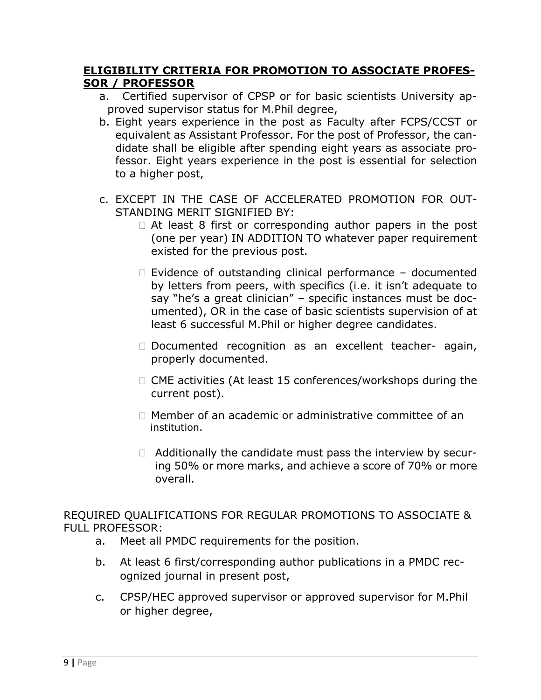### **ELIGIBILITY CRITERIA FOR PROMOTION TO ASSOCIATE PROFES-SOR / PROFESSOR**

- a. Certified supervisor of CPSP or for basic scientists University approved supervisor status for M.Phil degree,
- b. Eight years experience in the post as Faculty after FCPS/CCST or equivalent as Assistant Professor. For the post of Professor, the candidate shall be eligible after spending eight years as associate professor. Eight years experience in the post is essential for selection to a higher post,
- c. EXCEPT IN THE CASE OF ACCELERATED PROMOTION FOR OUT-STANDING MERIT SIGNIFIED BY:
	- $\Box$  At least 8 first or corresponding author papers in the post (one per year) IN ADDITION TO whatever paper requirement existed for the previous post.
	- $\Box$  Evidence of outstanding clinical performance documented by letters from peers, with specifics (i.e. it isn't adequate to say "he's a great clinician" – specific instances must be documented), OR in the case of basic scientists supervision of at least 6 successful M.Phil or higher degree candidates.
	- $\Box$  Documented recognition as an excellent teacher- again, properly documented.
	- $\Box$  CME activities (At least 15 conferences/workshops during the current post).
	- $\Box$  Member of an academic or administrative committee of an institution.
	- $\Box$  Additionally the candidate must pass the interview by securing 50% or more marks, and achieve a score of 70% or more overall.

REQUIRED QUALIFICATIONS FOR REGULAR PROMOTIONS TO ASSOCIATE & FULL PROFESSOR:

- a. Meet all PMDC requirements for the position.
- b. At least 6 first/corresponding author publications in a PMDC recognized journal in present post,
- c. CPSP/HEC approved supervisor or approved supervisor for M.Phil or higher degree,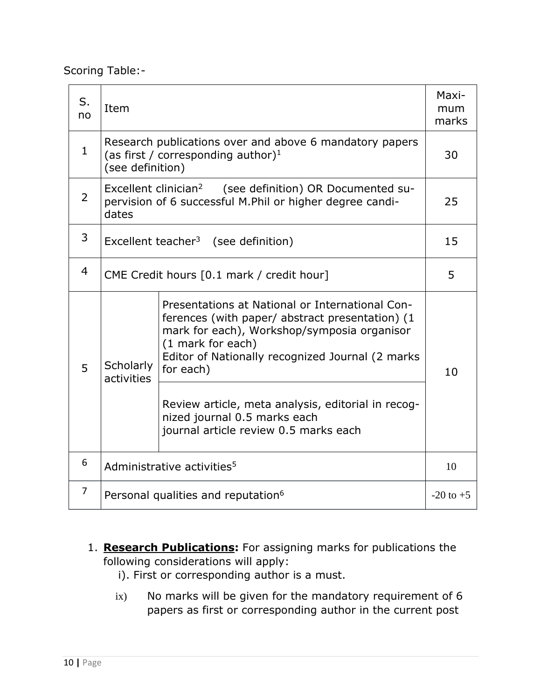Scoring Table:-

| S.<br>no       | Item                                                                                                                                     |                                                                                                                                                                                                                                                                                                                                                                        |    |  |
|----------------|------------------------------------------------------------------------------------------------------------------------------------------|------------------------------------------------------------------------------------------------------------------------------------------------------------------------------------------------------------------------------------------------------------------------------------------------------------------------------------------------------------------------|----|--|
| 1              | Research publications over and above 6 mandatory papers<br>(as first / corresponding author) <sup>1</sup><br>(see definition)            |                                                                                                                                                                                                                                                                                                                                                                        |    |  |
| $\overline{2}$ | Excellent clinician <sup>2</sup> (see definition) OR Documented su-<br>pervision of 6 successful M.Phil or higher degree candi-<br>dates |                                                                                                                                                                                                                                                                                                                                                                        |    |  |
| 3              | Excellent teacher <sup>3</sup> (see definition)                                                                                          |                                                                                                                                                                                                                                                                                                                                                                        |    |  |
| 4              | CME Credit hours [0.1 mark / credit hour]                                                                                                |                                                                                                                                                                                                                                                                                                                                                                        |    |  |
| 5              | Scholarly<br>activities                                                                                                                  | Presentations at National or International Con-<br>ferences (with paper/ abstract presentation) (1<br>mark for each), Workshop/symposia organisor<br>(1 mark for each)<br>Editor of Nationally recognized Journal (2 marks<br>for each)<br>Review article, meta analysis, editorial in recog-<br>nized journal 0.5 marks each<br>journal article review 0.5 marks each | 10 |  |
| 6              | Administrative activities <sup>5</sup>                                                                                                   |                                                                                                                                                                                                                                                                                                                                                                        |    |  |
| 7              |                                                                                                                                          |                                                                                                                                                                                                                                                                                                                                                                        |    |  |
|                | Personal qualities and reputation <sup>6</sup>                                                                                           |                                                                                                                                                                                                                                                                                                                                                                        |    |  |

- 1. **Research Publications:** For assigning marks for publications the following considerations will apply:
	- i). First or corresponding author is a must.
	- ix) No marks will be given for the mandatory requirement of 6 papers as first or corresponding author in the current post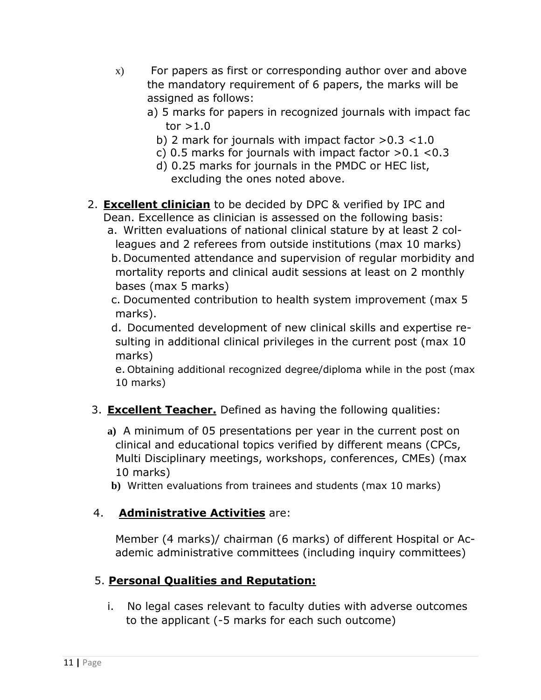- x) For papers as first or corresponding author over and above the mandatory requirement of 6 papers, the marks will be assigned as follows:
	- a) 5 marks for papers in recognized journals with impact fac tor  $>1.0$ 
		- b) 2 mark for journals with impact factor >0.3 <1.0
		- c) 0.5 marks for journals with impact factor  $>0.1$  <0.3
		- d) 0.25 marks for journals in the PMDC or HEC list, excluding the ones noted above.
- 2. **Excellent clinician** to be decided by DPC & verified by IPC and Dean. Excellence as clinician is assessed on the following basis: a. Written evaluations of national clinical stature by at least 2 col
	- leagues and 2 referees from outside institutions (max 10 marks) b.Documented attendance and supervision of regular morbidity and mortality reports and clinical audit sessions at least on 2 monthly bases (max 5 marks)

c. Documented contribution to health system improvement (max 5 marks).

d. Documented development of new clinical skills and expertise resulting in additional clinical privileges in the current post (max 10 marks)

e. Obtaining additional recognized degree/diploma while in the post (max 10 marks)

# 3. **Excellent Teacher.** Defined as having the following qualities:

- **a)** A minimum of 05 presentations per year in the current post on clinical and educational topics verified by different means (CPCs, Multi Disciplinary meetings, workshops, conferences, CMEs) (max 10 marks)
- **b)** Written evaluations from trainees and students (max 10 marks)

# 4. **Administrative Activities** are:

Member (4 marks)/ chairman (6 marks) of different Hospital or Academic administrative committees (including inquiry committees)

# 5. **Personal Qualities and Reputation:**

i. No legal cases relevant to faculty duties with adverse outcomes to the applicant (-5 marks for each such outcome)